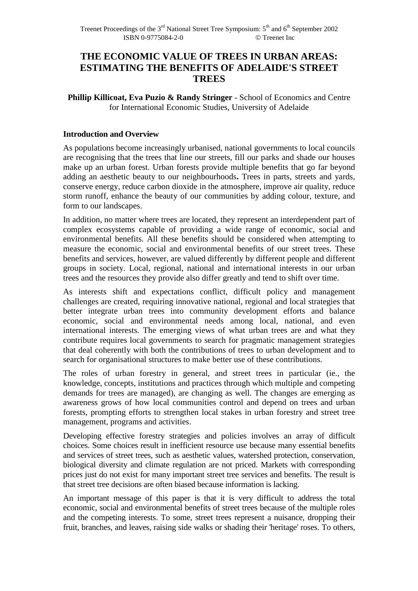# **THE ECONOMIC VALUE OF TREES IN URBAN AREAS: ESTIMATING THE BENEFITS OF ADELAIDE'S STREET TREES**

**Phillip Killicoat, Eva Puzio & Randy Stringer** - School of Economics and Centre for International Economic Studies, University of Adelaide

### **Introduction and Overview**

As populations become increasingly urbanised, national governments to local councils are recognising that the trees that line our streets, fill our parks and shade our houses make up an urban forest. Urban forests provide multiple benefits that go far beyond adding an aesthetic beauty to our neighbourhoods**.** Trees in parts, streets and yards, conserve energy, reduce carbon dioxide in the atmosphere, improve air quality, reduce storm runoff, enhance the beauty of our communities by adding colour, texture, and form to our landscapes.

In addition, no matter where trees are located, they represent an interdependent part of complex ecosystems capable of providing a wide range of economic, social and environmental benefits. All these benefits should be considered when attempting to measure the economic, social and environmental benefits of our street trees. These benefits and services, however, are valued differently by different people and different groups in society. Local, regional, national and international interests in our urban trees and the resources they provide also differ greatly and tend to shift over time.

As interests shift and expectations conflict, difficult policy and management challenges are created, requiring innovative national, regional and local strategies that better integrate urban trees into community development efforts and balance economic, social and environmental needs among local, national, and even international interests. The emerging views of what urban trees are and what they contribute requires local governments to search for pragmatic management strategies that deal coherently with both the contributions of trees to urban development and to search for organisational structures to make better use of these contributions.

The roles of urban forestry in general, and street trees in particular (ie., the knowledge, concepts, institutions and practices through which multiple and competing demands for trees are managed), are changing as well. The changes are emerging as awareness grows of how local communities control and depend on trees and urban forests, prompting efforts to strengthen local stakes in urban forestry and street tree management, programs and activities.

Developing effective forestry strategies and policies involves an array of difficult choices. Some choices result in inefficient resource use because many essential benefits and services of street trees, such as aesthetic values, watershed protection, conservation, biological diversity and climate regulation are not priced. Markets with corresponding prices just do not exist for many important street tree services and benefits. The result is that street tree decisions are often biased because information is lacking.

An important message of this paper is that it is very difficult to address the total economic, social and environmental benefits of street trees because of the multiple roles and the competing interests. To some, street trees represent a nuisance, dropping their fruit, branches, and leaves, raising side walks or shading their 'heritage' roses. To others,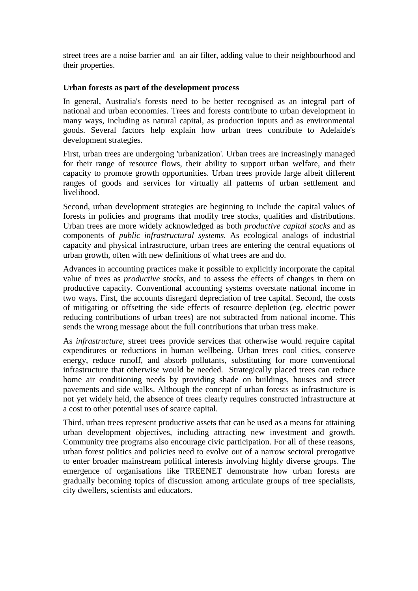street trees are a noise barrier and an air filter, adding value to their neighbourhood and their properties.

### **Urban forests as part of the development process**

In general, Australia's forests need to be better recognised as an integral part of national and urban economies. Trees and forests contribute to urban development in many ways, including as natural capital, as production inputs and as environmental goods. Several factors help explain how urban trees contribute to Adelaide's development strategies.

First, urban trees are undergoing 'urbanization'. Urban trees are increasingly managed for their range of resource flows, their ability to support urban welfare, and their capacity to promote growth opportunities. Urban trees provide large albeit different ranges of goods and services for virtually all patterns of urban settlement and livelihood.

Second, urban development strategies are beginning to include the capital values of forests in policies and programs that modify tree stocks, qualities and distributions. Urban trees are more widely acknowledged as both *productive capital stocks* and as components of *public infrastructural systems.* As ecological analogs of industrial capacity and physical infrastructure, urban trees are entering the central equations of urban growth, often with new definitions of what trees are and do.

Advances in accounting practices make it possible to explicitly incorporate the capital value of trees as *productive stocks*, and to assess the effects of changes in them on productive capacity. Conventional accounting systems overstate national income in two ways. First, the accounts disregard depreciation of tree capital. Second, the costs of mitigating or offsetting the side effects of resource depletion (eg. electric power reducing contributions of urban trees) are not subtracted from national income. This sends the wrong message about the full contributions that urban tress make.

As *infrastructure*, street trees provide services that otherwise would require capital expenditures or reductions in human wellbeing. Urban trees cool cities, conserve energy, reduce runoff, and absorb pollutants, substituting for more conventional infrastructure that otherwise would be needed. Strategically placed trees can reduce home air conditioning needs by providing shade on buildings, houses and street pavements and side walks. Although the concept of urban forests as infrastructure is not yet widely held, the absence of trees clearly requires constructed infrastructure at a cost to other potential uses of scarce capital.

Third, urban trees represent productive assets that can be used as a means for attaining urban development objectives, including attracting new investment and growth. Community tree programs also encourage civic participation. For all of these reasons, urban forest politics and policies need to evolve out of a narrow sectoral prerogative to enter broader mainstream political interests involving highly diverse groups. The emergence of organisations like TREENET demonstrate how urban forests are gradually becoming topics of discussion among articulate groups of tree specialists, city dwellers, scientists and educators.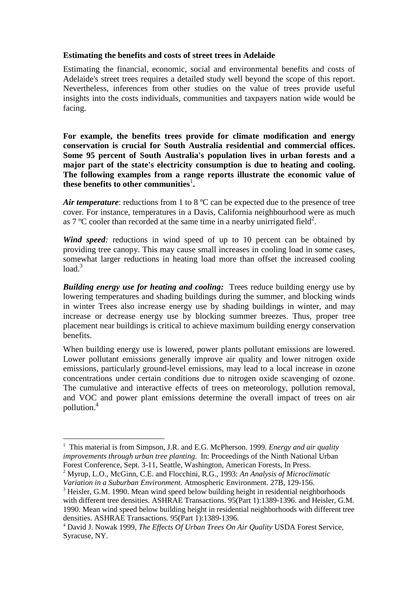### **Estimating the benefits and costs of street trees in Adelaide**

Estimating the financial, economic, social and environmental benefits and costs of Adelaide's street trees requires a detailed study well beyond the scope of this report. Nevertheless, inferences from other studies on the value of trees provide useful insights into the costs individuals, communities and taxpayers nation wide would be facing.

**For example, the benefits trees provide for climate modification and energy conservation is crucial for South Australia residential and commercial offices. Some 95 percent of South Australia's population lives in urban forests and a major part of the state's electricity consumption is due to heating and cooling. The following examples from a range reports illustrate the economic value of these benefits to other communities**<sup>1</sup> **.** 

*Air temperature*: reductions from 1 to 8 °C can be expected due to the presence of tree cover. For instance, temperatures in a Davis, California neighbourhood were as much as 7 °C cooler than recorded at the same time in a nearby unirrigated field<sup>2</sup>.

*Wind speed*: reductions in wind speed of up to 10 percent can be obtained by providing tree canopy. This may cause small increases in cooling load in some cases, somewhat larger reductions in heating load more than offset the increased cooling  $load<sup>3</sup>$ 

*Building energy use for heating and cooling:* Trees reduce building energy use by lowering temperatures and shading buildings during the summer, and blocking winds in winter Trees also increase energy use by shading buildings in winter, and may increase or decrease energy use by blocking summer breezes. Thus, proper tree placement near buildings is critical to achieve maximum building energy conservation benefits.

When building energy use is lowered, power plants pollutant emissions are lowered. Lower pollutant emissions generally improve air quality and lower nitrogen oxide emissions, particularly ground-level emissions, may lead to a local increase in ozone concentrations under certain conditions due to nitrogen oxide scavenging of ozone. The cumulative and interactive effects of trees on meteorology, pollution removal, and VOC and power plant emissions determine the overall impact of trees on air pollution.<sup>4</sup>

 $\overline{a}$ 

<sup>&</sup>lt;sup>1</sup> This material is from Simpson, J.R. and E.G. McPherson. 1999. *Energy and air quality improvements through urban tree planting*. In: Proceedings of the Ninth National Urban Forest Conference, Sept. 3-11, Seattle, Washington, American Forests, In Press.

<sup>2</sup> Myrup, L.O., McGinn, C.E. and Flocchini, R.G., 1993: *An Analysis of Microclimatic Variation in a Suburban Environment*. Atmospheric Environment. 27B, 129-156.

<sup>&</sup>lt;sup>3</sup> Heisler, G.M. 1990. Mean wind speed below building height in residential neighborhoods with different tree densities. ASHRAE Transactions. 95(Part 1):1389-1396. and Heisler, G.M. 1990. Mean wind speed below building height in residential neighborhoods with different tree densities. ASHRAE Transactions. 95(Part 1):1389-1396.

<sup>4</sup> David J. Nowak 1999, *The Effects Of Urban Trees On Air Quality* USDA Forest Service, Syracuse, NY.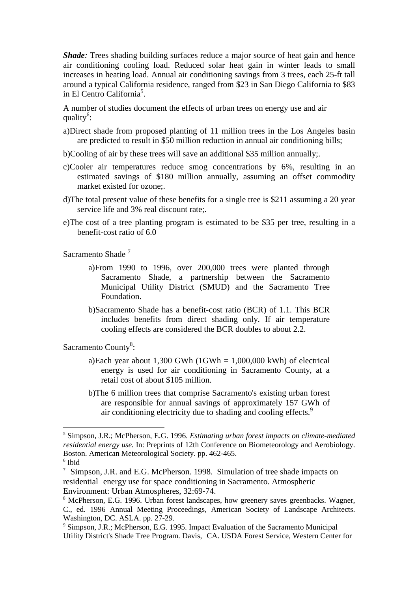*Shade*: Trees shading building surfaces reduce a major source of heat gain and hence air conditioning cooling load. Reduced solar heat gain in winter leads to small increases in heating load. Annual air conditioning savings from 3 trees, each 25-ft tall around a typical California residence, ranged from \$23 in San Diego California to \$83 in El Centro California<sup>5</sup>.

A number of studies document the effects of urban trees on energy use and air quality<sup>6</sup>:

- a)Direct shade from proposed planting of 11 million trees in the Los Angeles basin are predicted to result in \$50 million reduction in annual air conditioning bills;
- b)Cooling of air by these trees will save an additional \$35 million annually;.
- c)Cooler air temperatures reduce smog concentrations by 6%, resulting in an estimated savings of \$180 million annually, assuming an offset commodity market existed for ozone;.
- d)The total present value of these benefits for a single tree is \$211 assuming a 20 year service life and 3% real discount rate;.
- e)The cost of a tree planting program is estimated to be \$35 per tree, resulting in a benefit-cost ratio of 6.0

Sacramento Shade<sup>7</sup>

- a)From 1990 to 1996, over 200,000 trees were planted through Sacramento Shade, a partnership between the Sacramento Municipal Utility District (SMUD) and the Sacramento Tree Foundation.
- b)Sacramento Shade has a benefit-cost ratio (BCR) of 1.1. This BCR includes benefits from direct shading only. If air temperature cooling effects are considered the BCR doubles to about 2.2.

Sacramento County<sup>8</sup>:

- a)Each year about 1,300 GWh (1GWh =  $1,000,000$  kWh) of electrical energy is used for air conditioning in Sacramento County, at a retail cost of about \$105 million.
- b)The 6 million trees that comprise Sacramento's existing urban forest are responsible for annual savings of approximately 157 GWh of air conditioning electricity due to shading and cooling effects.<sup>9</sup>

 $\overline{a}$ 

<sup>5</sup> Simpson, J.R.; McPherson, E.G. 1996. *Estimating urban forest impacts on climate-mediated residential energy use.* In: Preprints of 12th Conference on Biometeorology and Aerobiology. Boston. American Meteorological Society. pp. 462-465.

<sup>6</sup> Ibid

<sup>&</sup>lt;sup>7</sup> Simpson, J.R. and E.G. McPherson. 1998. Simulation of tree shade impacts on residential energy use for space conditioning in Sacramento. Atmospheric Environment: Urban Atmospheres, 32:69-74.

<sup>&</sup>lt;sup>8</sup> McPherson, E.G. 1996. Urban forest landscapes, how greenery saves greenbacks. Wagner, C., ed. 1996 Annual Meeting Proceedings, American Society of Landscape Architects. Washington, DC. ASLA. pp. 27-29.

<sup>&</sup>lt;sup>9</sup> Simpson, J.R.; McPherson, E.G. 1995. Impact Evaluation of the Sacramento Municipal Utility District's Shade Tree Program. Davis, CA. USDA Forest Service, Western Center for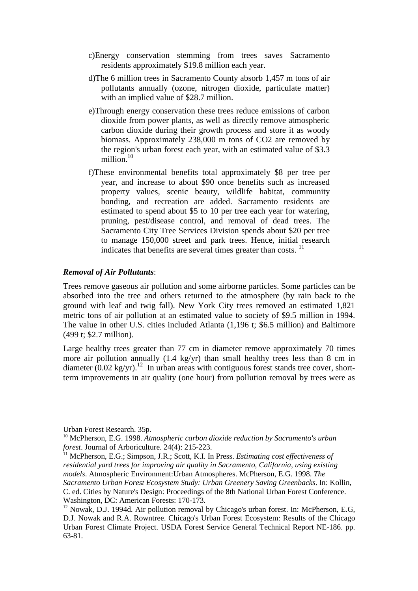- c)Energy conservation stemming from trees saves Sacramento residents approximately \$19.8 million each year.
- d)The 6 million trees in Sacramento County absorb 1,457 m tons of air pollutants annually (ozone, nitrogen dioxide, particulate matter) with an implied value of \$28.7 million.
- e)Through energy conservation these trees reduce emissions of carbon dioxide from power plants, as well as directly remove atmospheric carbon dioxide during their growth process and store it as woody biomass. Approximately 238,000 m tons of CO2 are removed by the region's urban forest each year, with an estimated value of \$3.3 million.<sup>10</sup>
- f)These environmental benefits total approximately \$8 per tree per year, and increase to about \$90 once benefits such as increased property values, scenic beauty, wildlife habitat, community bonding, and recreation are added. Sacramento residents are estimated to spend about \$5 to 10 per tree each year for watering, pruning, pest/disease control, and removal of dead trees. The Sacramento City Tree Services Division spends about \$20 per tree to manage 150,000 street and park trees. Hence, initial research indicates that benefits are several times greater than costs.  $11$

#### *Removal of Air Pollutants*:

Trees remove gaseous air pollution and some airborne particles. Some particles can be absorbed into the tree and others returned to the atmosphere (by rain back to the ground with leaf and twig fall). New York City trees removed an estimated 1,821 metric tons of air pollution at an estimated value to society of \$9.5 million in 1994. The value in other U.S. cities included Atlanta (1,196 t; \$6.5 million) and Baltimore (499 t; \$2.7 million).

Large healthy trees greater than 77 cm in diameter remove approximately 70 times more air pollution annually (1.4 kg/yr) than small healthy trees less than 8 cm in diameter  $(0.02 \text{ kg/yr})$ .<sup>12</sup> In urban areas with contiguous forest stands tree cover, shortterm improvements in air quality (one hour) from pollution removal by trees were as

 $\overline{a}$ 

Urban Forest Research. 35p.

<sup>10</sup> McPherson, E.G. 1998. *Atmospheric carbon dioxide reduction by Sacramento's urban forest*. Journal of Arboriculture. 24(4): 215-223.

<sup>11</sup> McPherson, E.G.; Simpson, J.R.; Scott, K.I. In Press. *Estimating cost effectiveness of residential yard trees for improving air quality in Sacramento, California, using existing models*. Atmospheric Environment:Urban Atmospheres. McPherson, E.G. 1998. *The Sacramento Urban Forest Ecosystem Study: Urban Greenery Saving Greenbacks*. In: Kollin, C. ed. Cities by Nature's Design: Proceedings of the 8th National Urban Forest Conference. Washington, DC: American Forests: 170-173.

<sup>&</sup>lt;sup>12</sup> Nowak, D.J. 1994d. Air pollution removal by Chicago's urban forest. In: McPherson, E.G, D.J. Nowak and R.A. Rowntree. Chicago's Urban Forest Ecosystem: Results of the Chicago Urban Forest Climate Project. USDA Forest Service General Technical Report NE-186. pp. 63-81.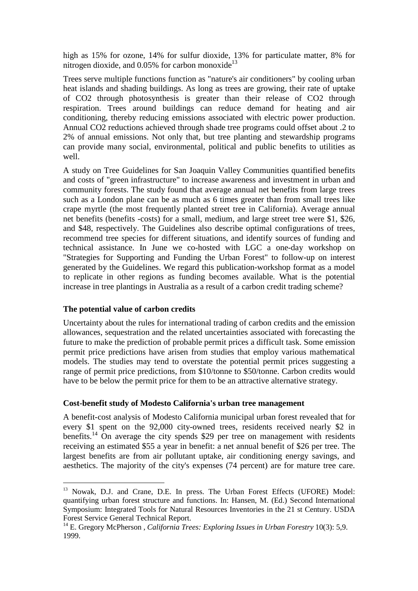high as 15% for ozone, 14% for sulfur dioxide, 13% for particulate matter, 8% for nitrogen dioxide, and  $0.05\%$  for carbon monoxide<sup>13</sup>

Trees serve multiple functions function as "nature's air conditioners" by cooling urban heat islands and shading buildings. As long as trees are growing, their rate of uptake of CO2 through photosynthesis is greater than their release of CO2 through respiration. Trees around buildings can reduce demand for heating and air conditioning, thereby reducing emissions associated with electric power production. Annual CO2 reductions achieved through shade tree programs could offset about .2 to 2% of annual emissions. Not only that, but tree planting and stewardship programs can provide many social, environmental, political and public benefits to utilities as well.

A study on Tree Guidelines for San Joaquin Valley Communities quantified benefits and costs of "green infrastructure" to increase awareness and investment in urban and community forests. The study found that average annual net benefits from large trees such as a London plane can be as much as 6 times greater than from small trees like crape myrtle (the most frequently planted street tree in California). Average annual net benefits (benefits -costs) for a small, medium, and large street tree were \$1, \$26, and \$48, respectively. The Guidelines also describe optimal configurations of trees, recommend tree species for different situations, and identify sources of funding and technical assistance. In June we co-hosted with LGC a one-day workshop on "Strategies for Supporting and Funding the Urban Forest" to follow-up on interest generated by the Guidelines. We regard this publication-workshop format as a model to replicate in other regions as funding becomes available. What is the potential increase in tree plantings in Australia as a result of a carbon credit trading scheme?

### **The potential value of carbon credits**

 $\overline{a}$ 

Uncertainty about the rules for international trading of carbon credits and the emission allowances, sequestration and the related uncertainties associated with forecasting the future to make the prediction of probable permit prices a difficult task. Some emission permit price predictions have arisen from studies that employ various mathematical models. The studies may tend to overstate the potential permit prices suggesting a range of permit price predictions, from \$10/tonne to \$50/tonne. Carbon credits would have to be below the permit price for them to be an attractive alternative strategy.

#### **Cost-benefit study of Modesto California's urban tree management**

A benefit-cost analysis of Modesto California municipal urban forest revealed that for every \$1 spent on the 92,000 city-owned trees, residents received nearly \$2 in benefits.<sup>14</sup> On average the city spends \$29 per tree on management with residents receiving an estimated \$55 a year in benefit: a net annual benefit of \$26 per tree. The largest benefits are from air pollutant uptake, air conditioning energy savings, and aesthetics. The majority of the city's expenses (74 percent) are for mature tree care.

<sup>&</sup>lt;sup>13</sup> Nowak, D.J. and Crane, D.E. In press. The Urban Forest Effects (UFORE) Model: quantifying urban forest structure and functions. In: Hansen, M. (Ed.) Second International Symposium: Integrated Tools for Natural Resources Inventories in the 21 st Century. USDA Forest Service General Technical Report.

<sup>14</sup> E. Gregory McPherson , *California Trees: Exploring Issues in Urban Forestry* 10(3): 5,9. 1999.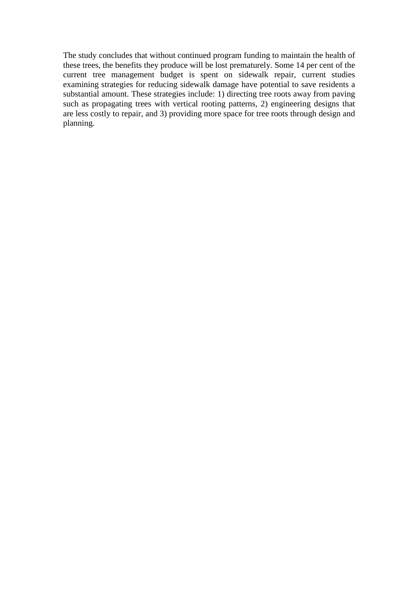The study concludes that without continued program funding to maintain the health of these trees, the benefits they produce will be lost prematurely. Some 14 per cent of the current tree management budget is spent on sidewalk repair, current studies examining strategies for reducing sidewalk damage have potential to save residents a substantial amount. These strategies include: 1) directing tree roots away from paving such as propagating trees with vertical rooting patterns, 2) engineering designs that are less costly to repair, and 3) providing more space for tree roots through design and planning.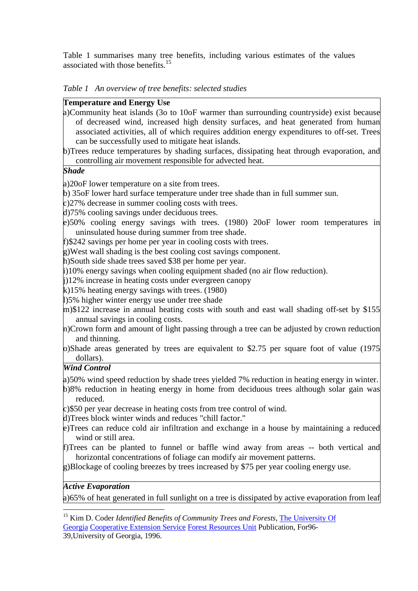Table 1 summarises many tree benefits, including various estimates of the values associated with those benefits.<sup>15</sup>

| Table 1 An overview of tree benefits: selected studies |  |  |
|--------------------------------------------------------|--|--|
|                                                        |  |  |

#### **Temperature and Energy Use**

- a)Community heat islands (3o to 10oF warmer than surrounding countryside) exist because of decreased wind, increased high density surfaces, and heat generated from human associated activities, all of which requires addition energy expenditures to off-set. Trees can be successfully used to mitigate heat islands.
- b)Trees reduce temperatures by shading surfaces, dissipating heat through evaporation, and controlling air movement responsible for advected heat.

### *Shade*

a)20oF lower temperature on a site from trees.

- b) 35oF lower hard surface temperature under tree shade than in full summer sun.
- c)27% decrease in summer cooling costs with trees.
- d)75% cooling savings under deciduous trees.
- e)50% cooling energy savings with trees. (1980) 20oF lower room temperatures in uninsulated house during summer from tree shade.
- f)\$242 savings per home per year in cooling costs with trees.
- g)West wall shading is the best cooling cost savings component.
- h)South side shade trees saved \$38 per home per year.
- i)10% energy savings when cooling equipment shaded (no air flow reduction).
- j)12% increase in heating costs under evergreen canopy
- k)15% heating energy savings with trees. (1980)
- l)5% higher winter energy use under tree shade
- m)\$122 increase in annual heating costs with south and east wall shading off-set by \$155 annual savings in cooling costs.
- n)Crown form and amount of light passing through a tree can be adjusted by crown reduction and thinning.
- o)Shade areas generated by trees are equivalent to \$2.75 per square foot of value (1975 dollars).

# *Wind Control*

a)50% wind speed reduction by shade trees yielded 7% reduction in heating energy in winter.

- b)8% reduction in heating energy in home from deciduous trees although solar gain was reduced.
- c)\$50 per year decrease in heating costs from tree control of wind.
- d)Trees block winter winds and reduces "chill factor."
- e)Trees can reduce cold air infiltration and exchange in a house by maintaining a reduced wind or still area.
- f)Trees can be planted to funnel or baffle wind away from areas -- both vertical and horizontal concentrations of foliage can modify air movement patterns.
- g)Blockage of cooling breezes by trees increased by \$75 per year cooling energy use.

#### *Active Evaporation*

a)65% of heat generated in full sunlight on a tree is dissipated by active evaporation from leaf

 $\overline{a}$ <sup>15</sup> Kim D. Coder *Identified Benefits of Community Trees and Forests*, The University Of Georgia Cooperative Extension Service Forest Resources Unit Publication, For96-

<sup>39,</sup>University of Georgia, 1996.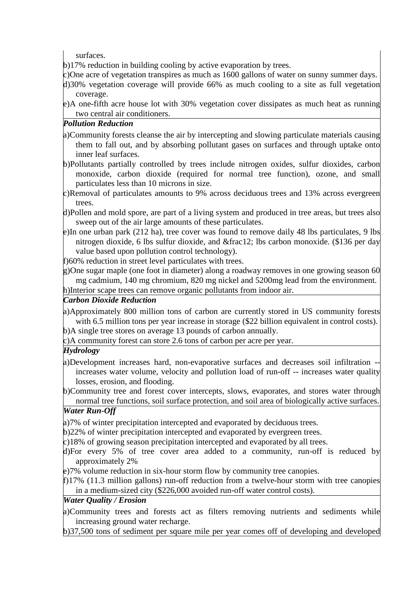surfaces.

b)17% reduction in building cooling by active evaporation by trees.

- c)One acre of vegetation transpires as much as 1600 gallons of water on sunny summer days.
- d)30% vegetation coverage will provide 66% as much cooling to a site as full vegetation coverage.
- e)A one-fifth acre house lot with 30% vegetation cover dissipates as much heat as running two central air conditioners.

# *Pollution Reduction*

- a)Community forests cleanse the air by intercepting and slowing particulate materials causing them to fall out, and by absorbing pollutant gases on surfaces and through uptake onto inner leaf surfaces.
- b)Pollutants partially controlled by trees include nitrogen oxides, sulfur dioxides, carbon monoxide, carbon dioxide (required for normal tree function), ozone, and small particulates less than 10 microns in size.
- c)Removal of particulates amounts to 9% across deciduous trees and 13% across evergreen trees.
- d)Pollen and mold spore, are part of a living system and produced in tree areas, but trees also sweep out of the air large amounts of these particulates.
- e)In one urban park (212 ha), tree cover was found to remove daily 48 lbs particulates, 9 lbs nitrogen dioxide, 6 lbs sulfur dioxide, and ½ lbs carbon monoxide. (\$136 per day value based upon pollution control technology).

f)60% reduction in street level particulates with trees.

g)One sugar maple (one foot in diameter) along a roadway removes in one growing season 60 mg cadmium, 140 mg chromium, 820 mg nickel and 5200mg lead from the environment. h)Interior scape trees can remove organic pollutants from indoor air.

# *Carbon Dioxide Reduction*

a)Approximately 800 million tons of carbon are currently stored in US community forests with 6.5 million tons per year increase in storage (\$22 billion equivalent in control costs).

b)A single tree stores on average 13 pounds of carbon annually.

c)A community forest can store 2.6 tons of carbon per acre per year.

# *Hydrology*

a)Development increases hard, non-evaporative surfaces and decreases soil infiltration increases water volume, velocity and pollution load of run-off -- increases water quality losses, erosion, and flooding.

b)Community tree and forest cover intercepts, slows, evaporates, and stores water through normal tree functions, soil surface protection, and soil area of biologically active surfaces.

# *Water Run-Off*

a)7% of winter precipitation intercepted and evaporated by deciduous trees.

- b)22% of winter precipitation intercepted and evaporated by evergreen trees.
- c)18% of growing season precipitation intercepted and evaporated by all trees.
- d)For every 5% of tree cover area added to a community, run-off is reduced by approximately 2%

e)7% volume reduction in six-hour storm flow by community tree canopies.

f)17% (11.3 million gallons) run-off reduction from a twelve-hour storm with tree canopies in a medium-sized city (\$226,000 avoided run-off water control costs).

### *Water Quality / Erosion*

- a)Community trees and forests act as filters removing nutrients and sediments while increasing ground water recharge.
- b)37,500 tons of sediment per square mile per year comes off of developing and developed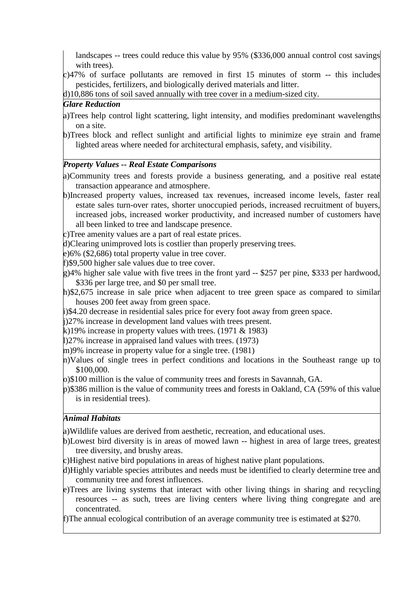landscapes -- trees could reduce this value by 95% (\$336,000 annual control cost savings with trees).

c)47% of surface pollutants are removed in first 15 minutes of storm -- this includes pesticides, fertilizers, and biologically derived materials and litter.

d)10,886 tons of soil saved annually with tree cover in a medium-sized city.

# *Glare Reduction*

- a)Trees help control light scattering, light intensity, and modifies predominant wavelengths on a site.
- b)Trees block and reflect sunlight and artificial lights to minimize eye strain and frame lighted areas where needed for architectural emphasis, safety, and visibility.

### *Property Values -- Real Estate Comparisons*

a)Community trees and forests provide a business generating, and a positive real estate transaction appearance and atmosphere.

b)Increased property values, increased tax revenues, increased income levels, faster real estate sales turn-over rates, shorter unoccupied periods, increased recruitment of buyers, increased jobs, increased worker productivity, and increased number of customers have all been linked to tree and landscape presence.

c)Tree amenity values are a part of real estate prices.

d)Clearing unimproved lots is costlier than properly preserving trees.

e)6% (\$2,686) total property value in tree cover.

f)\$9,500 higher sale values due to tree cover.

- $g$ )4% higher sale value with five trees in the front yard -- \$257 per pine, \$333 per hardwood, \$336 per large tree, and \$0 per small tree.
- h)\$2,675 increase in sale price when adjacent to tree green space as compared to similar houses 200 feet away from green space.
- i)\$4.20 decrease in residential sales price for every foot away from green space.

j)27% increase in development land values with trees present.

k)19% increase in property values with trees.  $(1971 \& 1983)$ 

l)27% increase in appraised land values with trees. (1973)

m)9% increase in property value for a single tree. (1981)

- n)Values of single trees in perfect conditions and locations in the Southeast range up to \$100,000.
- o)\$100 million is the value of community trees and forests in Savannah, GA.
- p)\$386 million is the value of community trees and forests in Oakland, CA (59% of this value is in residential trees).

### *Animal Habitats*

a)Wildlife values are derived from aesthetic, recreation, and educational uses.

b)Lowest bird diversity is in areas of mowed lawn -- highest in area of large trees, greatest tree diversity, and brushy areas.

c)Highest native bird populations in areas of highest native plant populations.

- d)Highly variable species attributes and needs must be identified to clearly determine tree and community tree and forest influences.
- e)Trees are living systems that interact with other living things in sharing and recycling resources -- as such, trees are living centers where living thing congregate and are concentrated.

f)The annual ecological contribution of an average community tree is estimated at \$270.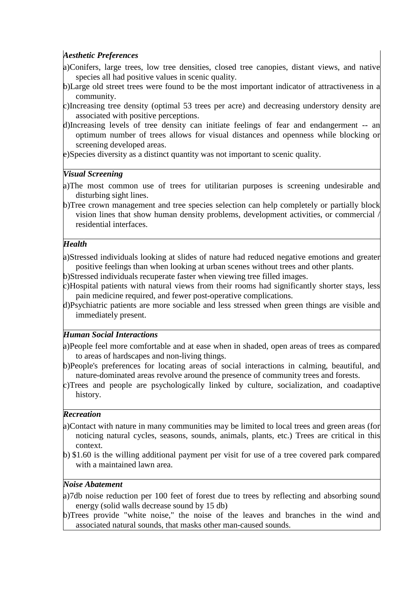### *Aesthetic Preferences*

- a)Conifers, large trees, low tree densities, closed tree canopies, distant views, and native species all had positive values in scenic quality.
- b)Large old street trees were found to be the most important indicator of attractiveness in a community.
- c)Increasing tree density (optimal 53 trees per acre) and decreasing understory density are associated with positive perceptions.
- d)Increasing levels of tree density can initiate feelings of fear and endangerment -- an optimum number of trees allows for visual distances and openness while blocking or screening developed areas.
- e)Species diversity as a distinct quantity was not important to scenic quality.

### *Visual Screening*

- a)The most common use of trees for utilitarian purposes is screening undesirable and disturbing sight lines.
- b)Tree crown management and tree species selection can help completely or partially block vision lines that show human density problems, development activities, or commercial / residential interfaces.

### *Health*

- a)Stressed individuals looking at slides of nature had reduced negative emotions and greater positive feelings than when looking at urban scenes without trees and other plants.
- b)Stressed individuals recuperate faster when viewing tree filled images.
- c)Hospital patients with natural views from their rooms had significantly shorter stays, less pain medicine required, and fewer post-operative complications.
- d)Psychiatric patients are more sociable and less stressed when green things are visible and immediately present.

# *Human Social Interactions*

- a)People feel more comfortable and at ease when in shaded, open areas of trees as compared to areas of hardscapes and non-living things.
- b)People's preferences for locating areas of social interactions in calming, beautiful, and nature-dominated areas revolve around the presence of community trees and forests.
- c)Trees and people are psychologically linked by culture, socialization, and coadaptive history.

### *Recreation*

- a)Contact with nature in many communities may be limited to local trees and green areas (for noticing natural cycles, seasons, sounds, animals, plants, etc.) Trees are critical in this context.
- b) \$1.60 is the willing additional payment per visit for use of a tree covered park compared with a maintained lawn area.

### *Noise Abatement*

- a)7db noise reduction per 100 feet of forest due to trees by reflecting and absorbing sound energy (solid walls decrease sound by 15 db)
- b)Trees provide "white noise," the noise of the leaves and branches in the wind and associated natural sounds, that masks other man-caused sounds.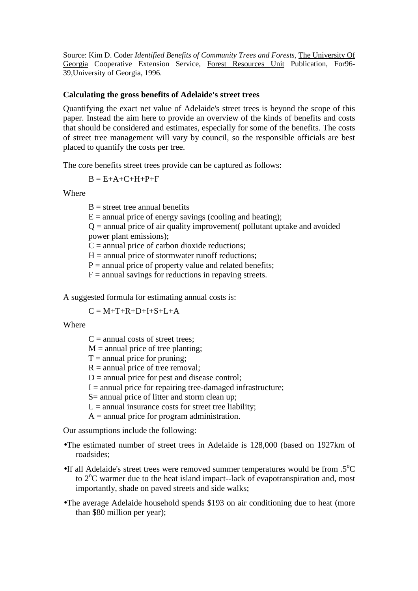Source: Kim D. Coder *Identified Benefits of Community Trees and Forests*, The University Of Georgia Cooperative Extension Service, Forest Resources Unit Publication, For96- 39,University of Georgia, 1996.

#### **Calculating the gross benefits of Adelaide's street trees**

Quantifying the exact net value of Adelaide's street trees is beyond the scope of this paper. Instead the aim here to provide an overview of the kinds of benefits and costs that should be considered and estimates, especially for some of the benefits. The costs of street tree management will vary by council, so the responsible officials are best placed to quantify the costs per tree.

The core benefits street trees provide can be captured as follows:

$$
B = E + A + C + H + P + F
$$

Where

 $B =$  street tree annual benefits

 $E =$  annual price of energy savings (cooling and heating);

 $Q =$  annual price of air quality improvement (pollutant uptake and avoided power plant emissions);

 $C =$  annual price of carbon dioxide reductions;

 $H =$  annual price of stormwater runoff reductions;

 $P =$  annual price of property value and related benefits;

 $F =$  annual savings for reductions in repaving streets.

A suggested formula for estimating annual costs is:

 $C = M + T + R + D + I + S + I + A$ 

Where

 $C =$  annual costs of street trees:

 $M =$  annual price of tree planting;

 $T =$  annual price for pruning;

 $R =$  annual price of tree removal;

 $D =$  annual price for pest and disease control;

 $I =$  annual price for repairing tree-damaged infrastructure;

S= annual price of litter and storm clean up;

 $L =$  annual insurance costs for street tree liability;

 $A =$  annual price for program administration.

Our assumptions include the following:

- •The estimated number of street trees in Adelaide is 128,000 (based on 1927km of roadsides;
- •If all Adelaide's street trees were removed summer temperatures would be from  $.5^{\circ}C$ to  $2^{\circ}$ C warmer due to the heat island impact--lack of evapotranspiration and, most importantly, shade on paved streets and side walks;
- •The average Adelaide household spends \$193 on air conditioning due to heat (more than \$80 million per year);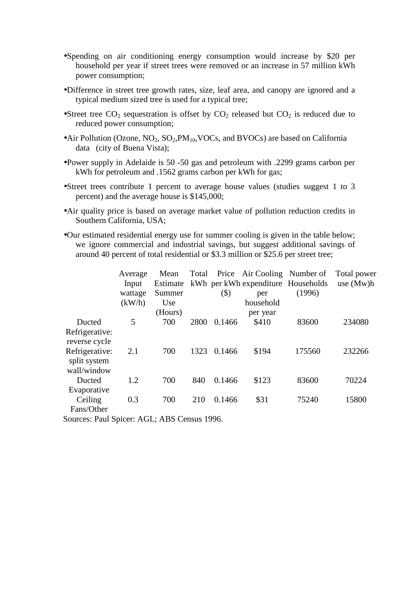- •Spending on air conditioning energy consumption would increase by \$20 per household per year if street trees were removed or an increase in 57 million kWh power consumption;
- •Difference in street tree growth rates, size, leaf area, and canopy are ignored and a typical medium sized tree is used for a typical tree;
- •Street tree  $CO_2$  sequestration is offset by  $CO_2$  released but  $CO_2$  is reduced due to reduced power consumption;
- •Air Pollution (Ozone,  $NO_2$ ,  $SO_2$ ,  $PM_{10}$ , VOCs, and BVOCs) are based on California data (city of Buena Vista);
- •Power supply in Adelaide is 50 -50 gas and petroleum with .2299 grams carbon per kWh for petroleum and .1562 grams carbon per kWh for gas;
- •Street trees contribute 1 percent to average house values (studies suggest 1 to 3 percent) and the average house is \$145,000;
- •Air quality price is based on average market value of pollution reduction credits in Southern California, USA;
- •Our estimated residential energy use for summer cooling is given in the table below; we ignore commercial and industrial savings, but suggest additional savings of around 40 percent of total residential or \$3.3 million or \$25.6 per street tree;

|                                                 | Average<br>Input<br>wattage | Mean<br>Estimate<br>Summer | Total | $($ \$) | Price Air Cooling Number of<br>kWh per kWh expenditure Households<br>per | (1996) | Total power<br>use $(Mw)h$ |
|-------------------------------------------------|-----------------------------|----------------------------|-------|---------|--------------------------------------------------------------------------|--------|----------------------------|
|                                                 | (kW/h)                      | Use                        |       |         | household                                                                |        |                            |
| Ducted<br>Refrigerative:                        | 5                           | (Hours)<br>700             | 2800  | 0.1466  | per year<br>\$410                                                        | 83600  | 234080                     |
| reverse cycle<br>Refrigerative:<br>split system | 2.1                         | 700                        | 1323  | 0.1466  | \$194                                                                    | 175560 | 232266                     |
| wall/window<br>Ducted<br>Evaporative            | 1.2                         | 700                        | 840   | 0.1466  | \$123                                                                    | 83600  | 70224                      |
| Ceiling<br>Fans/Other                           | 0.3                         | 700                        | 210   | 0.1466  | \$31                                                                     | 75240  | 15800                      |

Sources: Paul Spicer: AGL; ABS Census 1996.